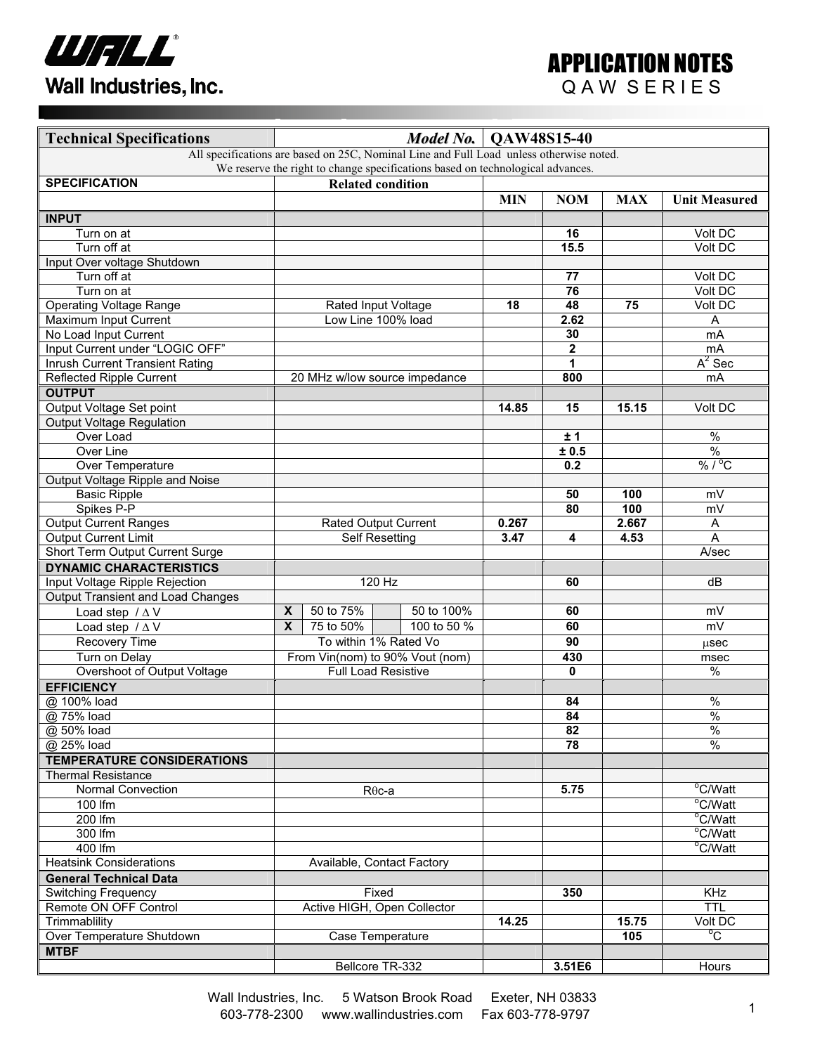

| <b>Technical Specifications</b>                                                         |                             |                                                          | Model No.                     | <b>OAW48S15-40</b> |                 |            |                                  |
|-----------------------------------------------------------------------------------------|-----------------------------|----------------------------------------------------------|-------------------------------|--------------------|-----------------|------------|----------------------------------|
| All specifications are based on 25C, Nominal Line and Full Load unless otherwise noted. |                             |                                                          |                               |                    |                 |            |                                  |
| We reserve the right to change specifications based on technological advances.          |                             |                                                          |                               |                    |                 |            |                                  |
| <b>SPECIFICATION</b>                                                                    | <b>Related condition</b>    |                                                          |                               |                    |                 |            |                                  |
|                                                                                         |                             |                                                          |                               | <b>MIN</b>         | <b>NOM</b>      | <b>MAX</b> | <b>Unit Measured</b>             |
| <b>INPUT</b>                                                                            |                             |                                                          |                               |                    |                 |            |                                  |
| Turn on at                                                                              |                             |                                                          |                               |                    | 16              |            | Volt DC                          |
| Turn off at                                                                             |                             |                                                          |                               |                    | 15.5            |            | Volt DC                          |
| Input Over voltage Shutdown                                                             |                             |                                                          |                               |                    |                 |            |                                  |
| Turn off at                                                                             |                             |                                                          |                               |                    | 77              |            | Volt DC                          |
| Turn on at                                                                              |                             |                                                          |                               |                    | $\overline{76}$ |            | Volt DC                          |
| Operating Voltage Range                                                                 |                             | Rated Input Voltage                                      |                               | 18                 | 48              | 75         | Volt DC                          |
| Maximum Input Current                                                                   | Low Line 100% load          |                                                          |                               |                    | 2.62            |            | Α                                |
| No Load Input Current                                                                   |                             |                                                          |                               |                    | 30              |            | mA                               |
| Input Current under "LOGIC OFF"                                                         |                             |                                                          |                               |                    | $\mathbf{2}$    |            | mA                               |
| <b>Inrush Current Transient Rating</b>                                                  |                             |                                                          |                               |                    | $\overline{1}$  |            | $A^2$ Sec                        |
| <b>Reflected Ripple Current</b>                                                         |                             |                                                          | 20 MHz w/low source impedance |                    | 800             |            | mA                               |
| <b>OUTPUT</b>                                                                           |                             |                                                          |                               |                    |                 |            |                                  |
| Output Voltage Set point                                                                |                             |                                                          |                               | 14.85              | 15              | 15.15      | Volt DC                          |
| Output Voltage Regulation                                                               |                             |                                                          |                               |                    |                 |            |                                  |
| Over Load                                                                               |                             |                                                          |                               |                    | ±1              |            | $\overline{\frac{9}{6}}$         |
| Over Line                                                                               |                             |                                                          |                               |                    | ± 0.5           |            | $\overline{\frac{9}{6}}$         |
| Over Temperature                                                                        |                             |                                                          |                               |                    | 0.2             |            | $% /$ <sup>°</sup> C             |
| Output Voltage Ripple and Noise                                                         |                             |                                                          |                               |                    |                 |            |                                  |
| <b>Basic Ripple</b>                                                                     |                             |                                                          |                               |                    | 50              | 100        | mV                               |
| Spikes P-P                                                                              |                             |                                                          |                               |                    | 80              | 100        | mV                               |
| <b>Output Current Ranges</b>                                                            |                             | <b>Rated Output Current</b>                              |                               | 0.267              |                 | 2.667      | A                                |
| <b>Output Current Limit</b>                                                             | <b>Self Resetting</b>       |                                                          |                               | 3.47               | 4               | 4.53       | A                                |
| Short Term Output Current Surge                                                         |                             |                                                          |                               |                    |                 |            | A/sec                            |
| <b>DYNAMIC CHARACTERISTICS</b>                                                          |                             |                                                          |                               |                    |                 |            |                                  |
| Input Voltage Ripple Rejection                                                          |                             | $120$ Hz                                                 |                               |                    | 60              |            | dB                               |
| <b>Output Transient and Load Changes</b>                                                |                             |                                                          |                               |                    |                 |            |                                  |
| Load step $/\Delta V$                                                                   | $\boldsymbol{X}$            | 50 to 75%                                                | 50 to 100%                    |                    | 60              |            | mV                               |
| Load step $/\Delta V$                                                                   | $\overline{\mathbf{x}}$     | 75 to 50%                                                | 100 to 50 %                   |                    | 60              |            | mV                               |
| Recovery Time                                                                           |                             |                                                          |                               |                    | 90              |            |                                  |
| Turn on Delay                                                                           |                             | To within 1% Rated Vo<br>From Vin(nom) to 90% Vout (nom) |                               |                    | 430             |            | usec                             |
| Overshoot of Output Voltage                                                             | <b>Full Load Resistive</b>  |                                                          |                               |                    | 0               |            | msec<br>$\%$                     |
| <b>EFFICIENCY</b>                                                                       |                             |                                                          |                               |                    |                 |            |                                  |
|                                                                                         |                             |                                                          |                               |                    |                 |            |                                  |
| @ 100% load                                                                             |                             |                                                          |                               |                    | 84              |            | $\%$<br>$\overline{\frac{9}{6}}$ |
| @ 75% load                                                                              |                             |                                                          |                               |                    | 84              |            | $\frac{0}{6}$                    |
| @ 50% load                                                                              |                             |                                                          |                               |                    | 82<br>78        |            | $\frac{0}{6}$                    |
| @ 25% load                                                                              |                             |                                                          |                               |                    |                 |            |                                  |
| <b>TEMPERATURE CONSIDERATIONS</b>                                                       |                             |                                                          |                               |                    |                 |            |                                  |
| <b>Thermal Resistance</b>                                                               |                             |                                                          |                               |                    |                 |            |                                  |
| <b>Normal Convection</b>                                                                | $R\theta$ c-a               |                                                          |                               |                    | 5.75            |            | °C/Watt                          |
| 100 lfm                                                                                 |                             |                                                          |                               |                    |                 |            | $\overline{C/W}$ att             |
| 200 lfm                                                                                 |                             |                                                          |                               |                    |                 |            | °C/Watt                          |
| 300 lfm                                                                                 |                             |                                                          |                               |                    |                 |            | °C/Watt                          |
| 400 lfm                                                                                 |                             | Available, Contact Factory                               |                               |                    |                 |            | °C/Watt                          |
| <b>Heatsink Considerations</b>                                                          |                             |                                                          |                               |                    |                 |            |                                  |
| <b>General Technical Data</b>                                                           |                             |                                                          |                               |                    |                 |            |                                  |
| <b>Switching Frequency</b>                                                              | Fixed                       |                                                          |                               |                    | 350             |            | <b>KHz</b>                       |
| Remote ON OFF Control                                                                   | Active HIGH, Open Collector |                                                          |                               |                    |                 |            | <b>TTL</b>                       |
| Trimmablility                                                                           |                             |                                                          |                               | 14.25              |                 | 15.75      | Volt DC                          |
| Over Temperature Shutdown                                                               | Case Temperature            |                                                          |                               |                    |                 | 105        | $\overline{C}$                   |
| <b>MTBF</b>                                                                             |                             |                                                          |                               |                    |                 |            |                                  |
|                                                                                         |                             | Bellcore TR-332                                          |                               |                    | 3.51E6          |            | Hours                            |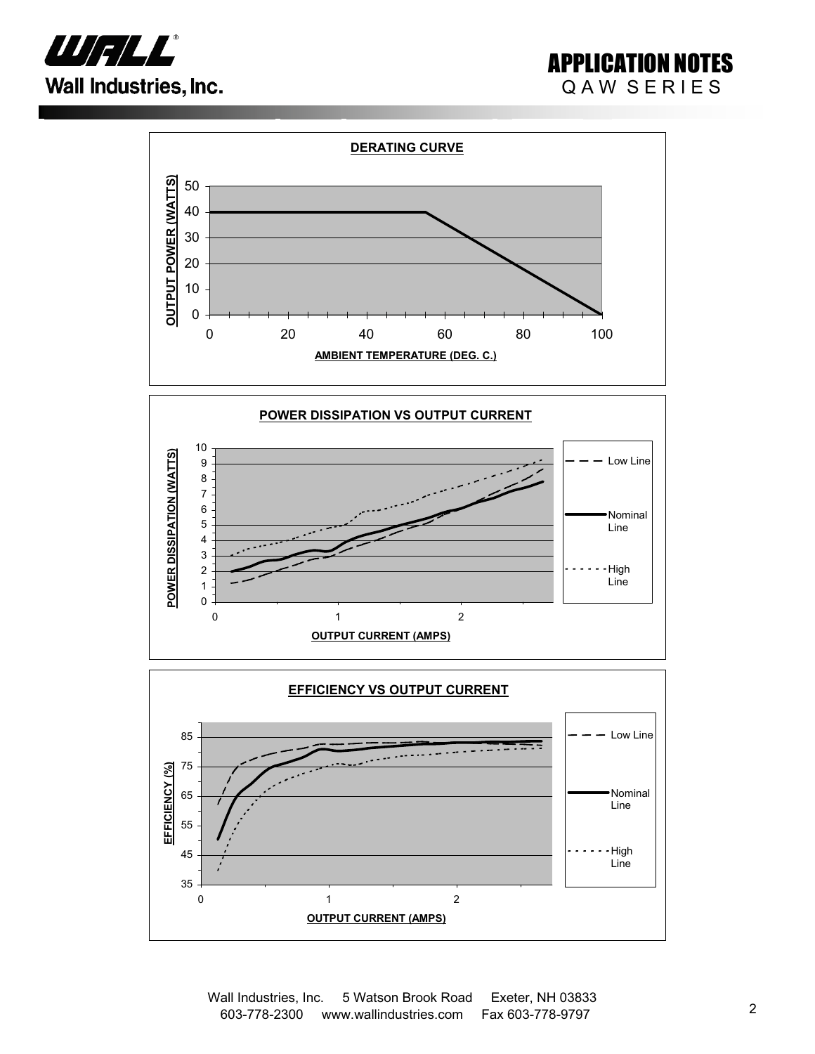

## APPLICATION NOTES QAW SERIES